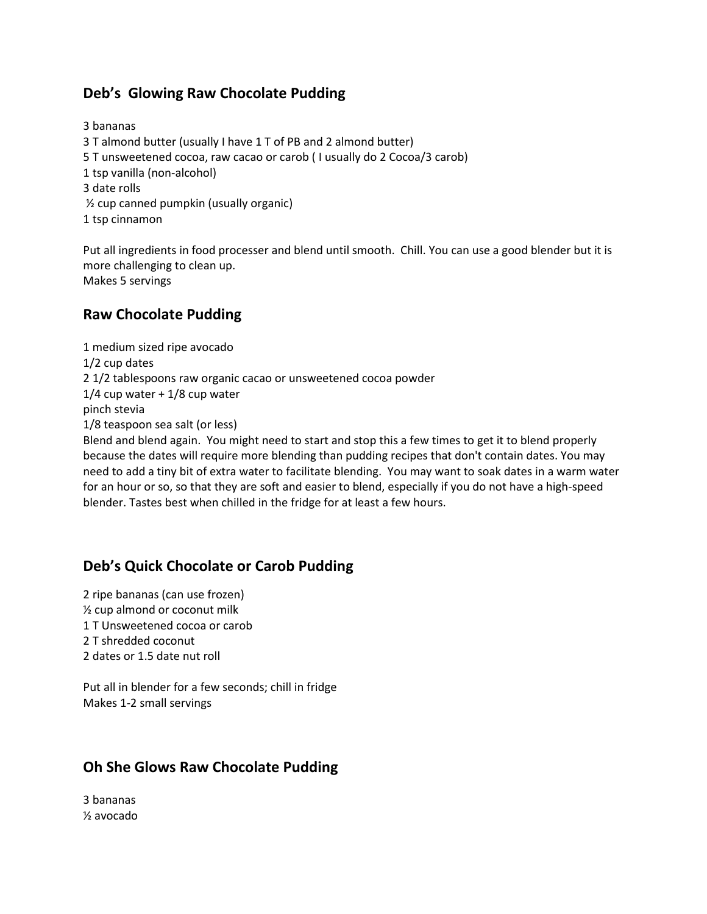## **Deb's Glowing Raw Chocolate Pudding**

3 bananas 3 T almond butter (usually I have 1 T of PB and 2 almond butter) 5 T unsweetened cocoa, raw cacao or carob ( I usually do 2 Cocoa/3 carob) 1 tsp vanilla (non-alcohol) 3 date rolls ½ cup canned pumpkin (usually organic) 1 tsp cinnamon

Put all ingredients in food processer and blend until smooth. Chill. You can use a good blender but it is more challenging to clean up. Makes 5 servings

## **Raw Chocolate Pudding**

1 medium sized ripe avocado 1/2 cup dates 2 1/2 tablespoons raw organic cacao or unsweetened cocoa powder 1/4 cup water + 1/8 cup water pinch stevia 1/8 teaspoon sea salt (or less) Blend and blend again. You might need to start and stop this a few times to get it to blend properly

because the dates will require more blending than pudding recipes that don't contain dates. You may need to add a tiny bit of extra water to facilitate blending. You may want to soak dates in a warm water for an hour or so, so that they are soft and easier to blend, especially if you do not have a high-speed blender. Tastes best when chilled in the fridge for at least a few hours.

## **Deb's Quick Chocolate or Carob Pudding**

2 ripe bananas (can use frozen) ½ cup almond or coconut milk 1 T Unsweetened cocoa or carob 2 T shredded coconut 2 dates or 1.5 date nut roll

Put all in blender for a few seconds; chill in fridge Makes 1-2 small servings

## **Oh She Glows Raw Chocolate Pudding**

3 bananas ½ avocado